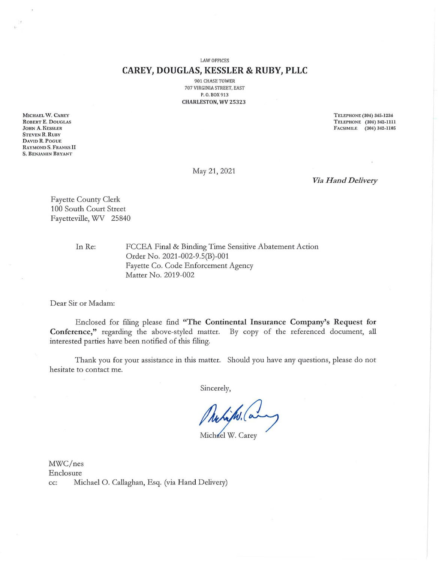LAW OFFICES

### **CAREY, DOUGLAS, KESSLER & RUBY, PLLC**

901 CHASE TOWER 707 VIRGINIA STREET, EAST P. O. BOX 913 CHARLESTON, WV 25323

MICHAEL W. CAREY ROBERT E. DOUGLAS JOHN A. KESSLER STEVEN R. RUBY DAVID R. PoGUE RAYMOND S. FRANKS II S. BENJAMIN BRYANT

TELEPHONE (304) 345-1234 TELEPHONE (304) 342-1111 FACSIMILE (304) 342-1105

May 21, 2021

*Vla Hand Delivery* 

Fayette County Clerk 100 South Court Street Fayetteville, WV 25840

ln Re:

FCCEA Final & Binding Time Sensitive Abatement Action Order No. 2021-002-9.S(B)-001 Fayette Co. Code Enforcement Agency Matter No. 2019-002

Dear Sir or Madam:

Enclosed for filing please find **"The Continental Insurance Company's Request for Conference,"** regarding the above-styled matter. By copy of the referenced document, ali interested parties have been notified of this filing.

Thank you for your assistance in this matter. Should you have any questions, please do not hesitate to contact me.

Sincerely,

Makips. (a

Michael W. Carey

MWC/nes Enclosure cc: Michael O. Callaghan, Esq. (via Hand Delivery)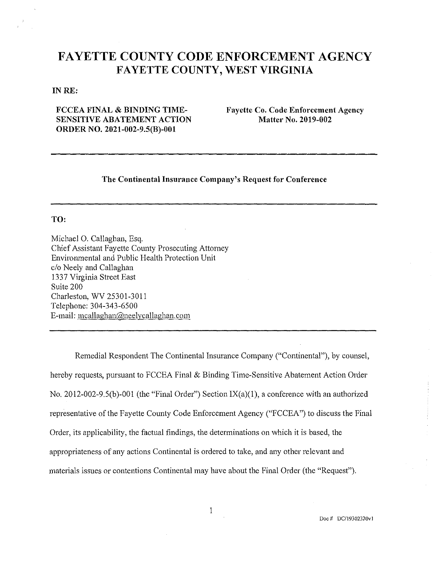# **FAYETTE COUNTY CODE ENFORCEMENT AGENCY FAYETTE COUNTY, WEST VIRGINIA**

#### IN RE:

## **FCCEA FINAL & BINDING TIME-SENSITIVE ABATEMENT ACTION ORDER NO. 2021-002-9.S(B)-001**

**Fayette Co. Code Enforcement Agency Matter No. 2019-002** 

## **The Continental Insurance Company's Request for Conference**

### **TO:**

Michael O. Callaghan, Esq. Chief Assistant Fayette County Prosecnting Attorney Environmental and Public Health Protection Unit e/o Neely and Callaghan 1337 Virgínia Street East Suite 200 Charleston, WV 25301-3011 Telephone: 304-343-6500 E-mail: mcallaghan@neelycallaghan.com

Remediai Respondent The Continental Insurance Company ("Continental"), by counsel, hereby requests, pursuant to FCCEA Final & Binding Time-Sensitive Abatement Action Order No. 2012-002-9.5(b)-001 (the "Final Order") Section IX(a)(l), a conference with an authorized representative of the Fayette County Code Enforcement Agency ("FCCEA") to discuss the Final Order, its applicability, the factual findings, the determinations on which it is based, the appropriateness of any actions Continental is ordered to take, and any other relevant and materiais issues or contentions Continental may have about the Final Order (the "Request").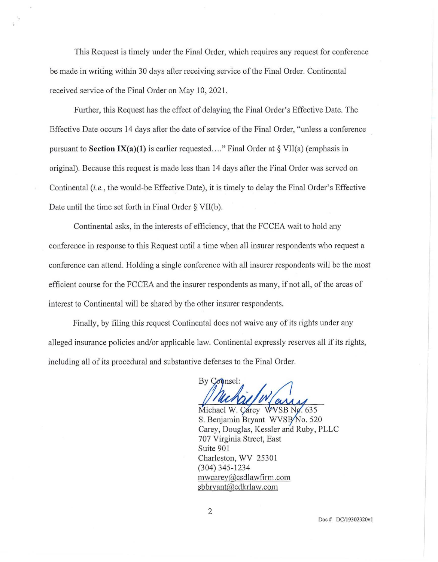This Request is timely under the Final Order, which reguires any reguest for conference be made in writing within 30 days after receiving service of the Final Order. Continental received service of the Final Order on May 10, 2021.

Further, this Request has the effect of delaying the Final Order's Effective Date. The Effective Date occurs 14 days after the date of service of the Final Order, "unless a conference pursuant to **Section IX(a)(l)** is earlier reguested .... " Final Order at § VII(a) (emphasis in original). Because this reguest is made less than 14 days after the Final Order was served on Continental *(i.e. ,* the would-be Effective Date), it is timely to delay the Final Order's Effective Date until the time set forth in Final Order § VII(b).

Continental asks, in the interests of efficiency, that the FCCEA wait to hold any conference in response to this Reguest until a tüne when ali insurer respondents who request a conference can attend. Holding a single conference with ali insurer respondents will be the most efficient course for the FCCEA and the insurer respondents as many, if not ali, of the areas of interest to Continental will be shared by the other insurer respondents.

Finally, by filing this reguest Continental does not waive any of its rights under any alleged insurance policies and/or applicable law. Continental expressly reserves all if its rights, including all of its procedural and substantive defenses to the Final Order.

By Counsel:

Michael W. Carey WVSB No. 635 S. Benjamin Bryant WVSB/No. 520 Carey, Douglas, Kessler and Ruby, PLLC 707 Virgínia Street, East Suite 901 Charleston, WV 25301 (304) 345-1234 mwcarey@csdlawfirm.com sbbryant@cdkrlaw.com